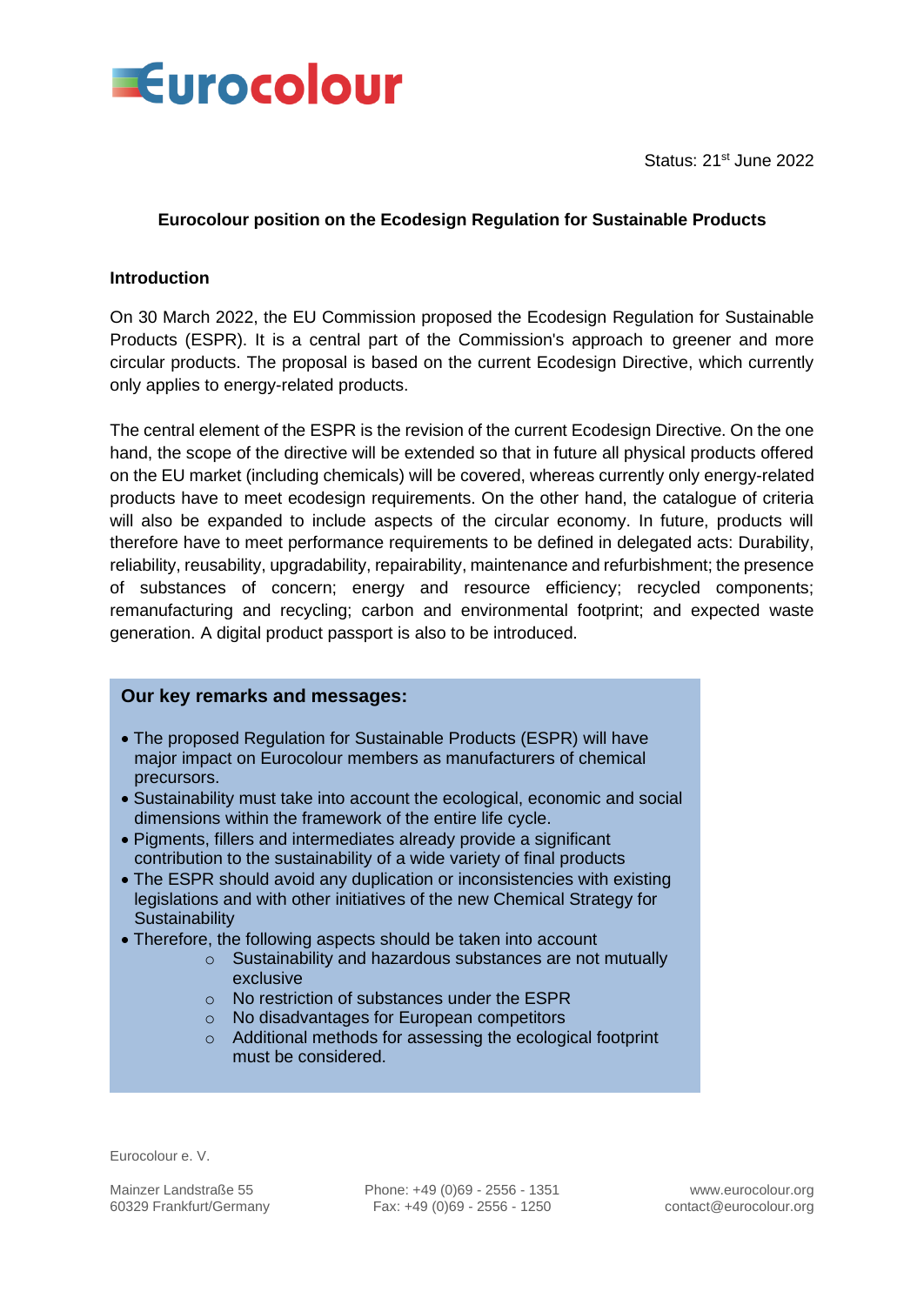

Status: 21<sup>st</sup> June 2022

## **Eurocolour position on the Ecodesign Regulation for Sustainable Products**

## **Introduction**

On 30 March 2022, the EU Commission proposed the Ecodesign Regulation for Sustainable Products (ESPR). It is a central part of the Commission's approach to greener and more circular products. The proposal is based on the current Ecodesign Directive, which currently only applies to energy-related products.

The central element of the ESPR is the revision of the current Ecodesign Directive. On the one hand, the scope of the directive will be extended so that in future all physical products offered on the EU market (including chemicals) will be covered, whereas currently only energy-related products have to meet ecodesign requirements. On the other hand, the catalogue of criteria will also be expanded to include aspects of the circular economy. In future, products will therefore have to meet performance requirements to be defined in delegated acts: Durability, reliability, reusability, upgradability, repairability, maintenance and refurbishment; the presence of substances of concern; energy and resource efficiency; recycled components; remanufacturing and recycling; carbon and environmental footprint; and expected waste generation. A digital product passport is also to be introduced.

#### **Our key remarks and messages:**

- The proposed Regulation for Sustainable Products (ESPR) will have major impact on Eurocolour members as manufacturers of chemical precursors.
- Sustainability must take into account the ecological, economic and social dimensions within the framework of the entire life cycle.
- Pigments, fillers and intermediates already provide a significant contribution to the sustainability of a wide variety of final products
- The ESPR should avoid any duplication or inconsistencies with existing legislations and with other initiatives of the new Chemical Strategy for **Sustainability**
- Therefore, the following aspects should be taken into account
	- o Sustainability and hazardous substances are not mutually exclusive
	- o No restriction of substances under the ESPR
	- o No disadvantages for European competitors
	- o Additional methods for assessing the ecological footprint must be considered.

Eurocolour e. V.

Mainzer Landstraße 55 Phone: +49 (0)69 - 2556 - 1351 www.eurocolour.org 60329 Frankfurt/Germany Fax: +49 (0)69 - 2556 - 1250 contact@eurocolour.org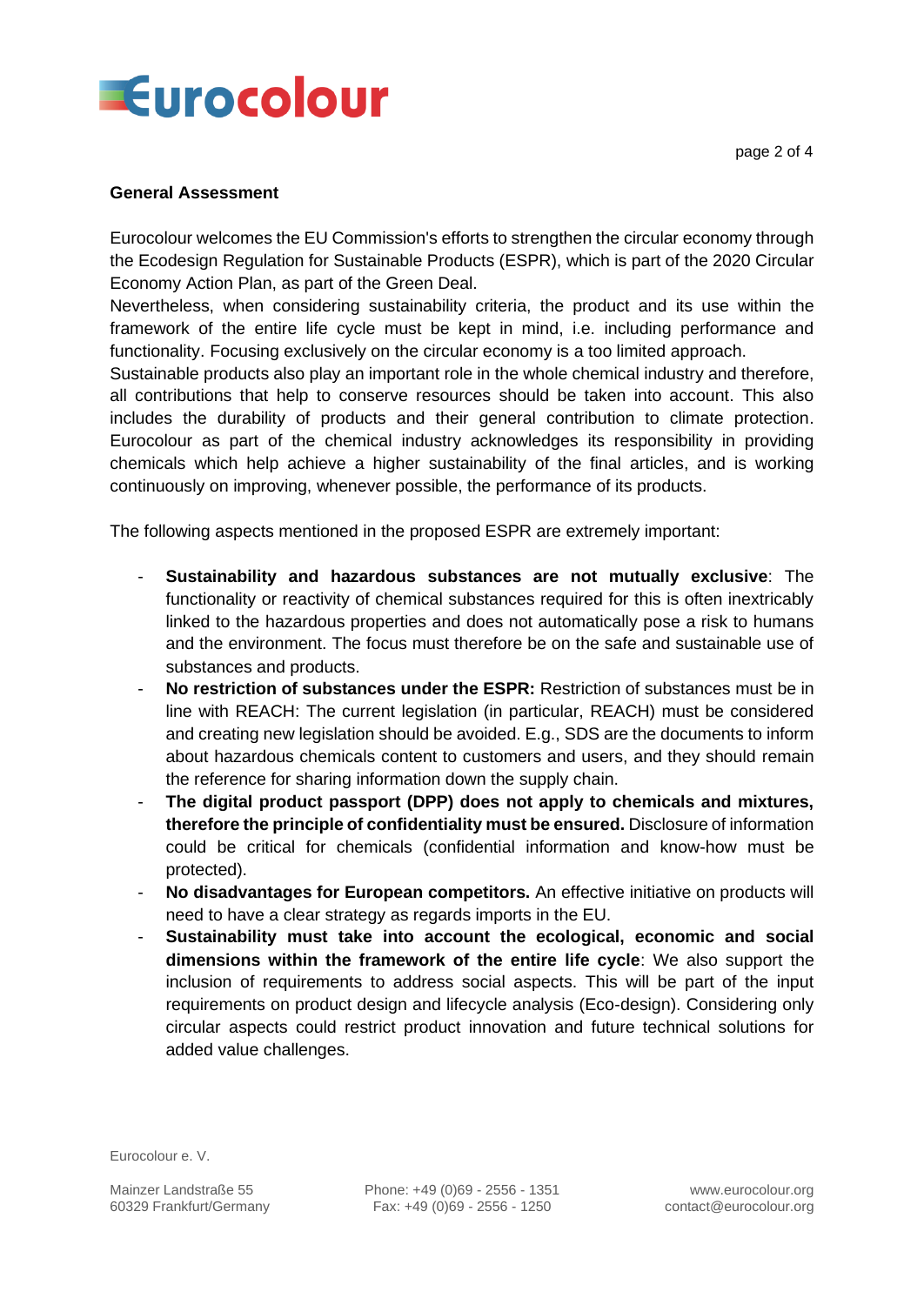

### **General Assessment**

Eurocolour welcomes the EU Commission's efforts to strengthen the circular economy through the Ecodesign Regulation for Sustainable Products (ESPR), which is part of the 2020 Circular Economy Action Plan, as part of the Green Deal.

Nevertheless, when considering sustainability criteria, the product and its use within the framework of the entire life cycle must be kept in mind, i.e. including performance and functionality. Focusing exclusively on the circular economy is a too limited approach.

Sustainable products also play an important role in the whole chemical industry and therefore, all contributions that help to conserve resources should be taken into account. This also includes the durability of products and their general contribution to climate protection. Eurocolour as part of the chemical industry acknowledges its responsibility in providing chemicals which help achieve a higher sustainability of the final articles, and is working continuously on improving, whenever possible, the performance of its products.

The following aspects mentioned in the proposed ESPR are extremely important:

- **Sustainability and hazardous substances are not mutually exclusive**: The functionality or reactivity of chemical substances required for this is often inextricably linked to the hazardous properties and does not automatically pose a risk to humans and the environment. The focus must therefore be on the safe and sustainable use of substances and products.
- **No restriction of substances under the ESPR:** Restriction of substances must be in line with REACH: The current legislation (in particular, REACH) must be considered and creating new legislation should be avoided. E.g., SDS are the documents to inform about hazardous chemicals content to customers and users, and they should remain the reference for sharing information down the supply chain.
- **The digital product passport (DPP) does not apply to chemicals and mixtures, therefore the principle of confidentiality must be ensured.** Disclosure of information could be critical for chemicals (confidential information and know-how must be protected).
- **No disadvantages for European competitors.** An effective initiative on products will need to have a clear strategy as regards imports in the EU.
- **Sustainability must take into account the ecological, economic and social dimensions within the framework of the entire life cycle**: We also support the inclusion of requirements to address social aspects. This will be part of the input requirements on product design and lifecycle analysis (Eco-design). Considering only circular aspects could restrict product innovation and future technical solutions for added value challenges.

Eurocolour e. V.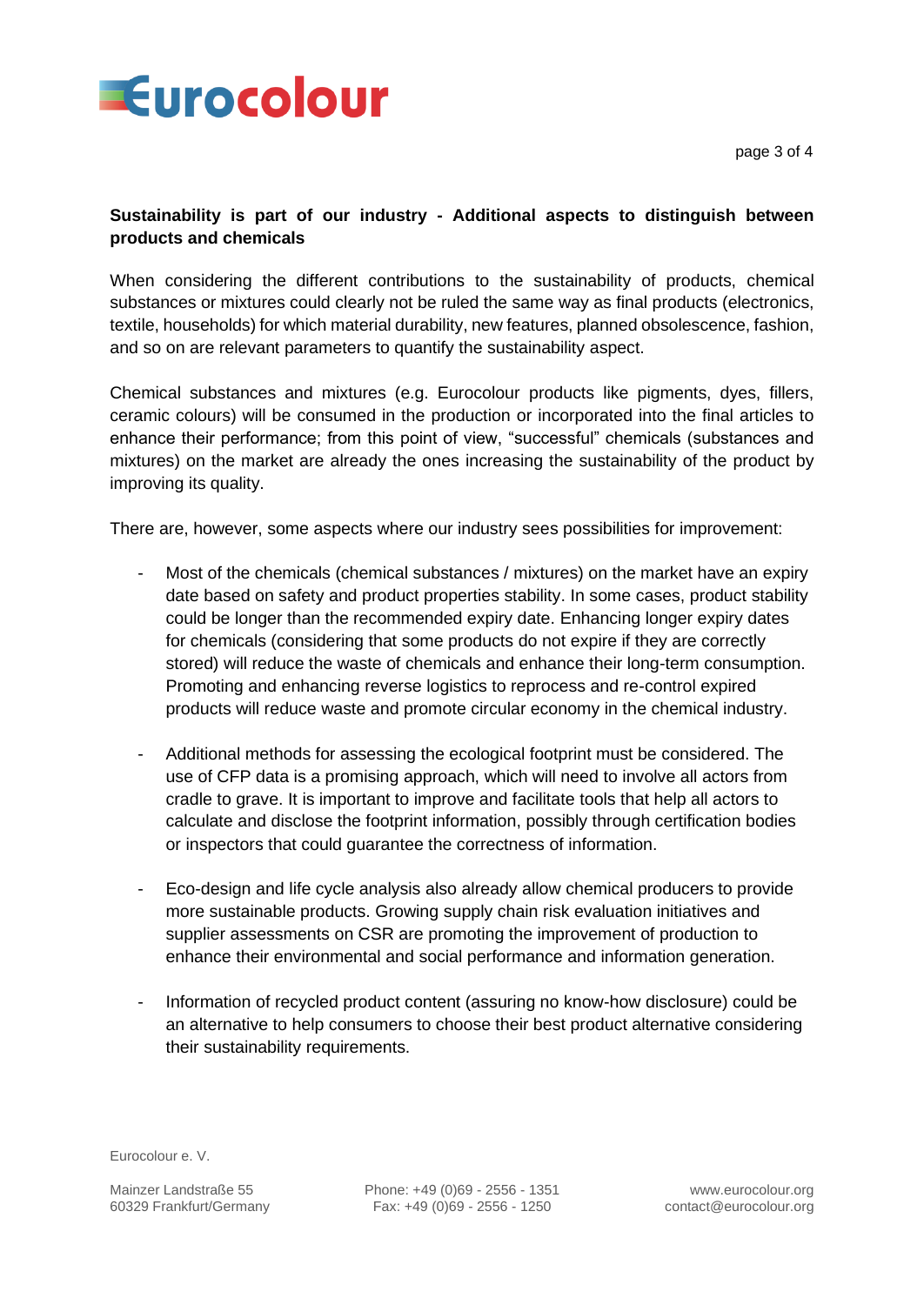

page 3 of 4

# **Sustainability is part of our industry - Additional aspects to distinguish between products and chemicals**

When considering the different contributions to the sustainability of products, chemical substances or mixtures could clearly not be ruled the same way as final products (electronics, textile, households) for which material durability, new features, planned obsolescence, fashion, and so on are relevant parameters to quantify the sustainability aspect.

Chemical substances and mixtures (e.g. Eurocolour products like pigments, dyes, fillers, ceramic colours) will be consumed in the production or incorporated into the final articles to enhance their performance; from this point of view, "successful" chemicals (substances and mixtures) on the market are already the ones increasing the sustainability of the product by improving its quality.

There are, however, some aspects where our industry sees possibilities for improvement:

- Most of the chemicals (chemical substances / mixtures) on the market have an expiry date based on safety and product properties stability. In some cases, product stability could be longer than the recommended expiry date. Enhancing longer expiry dates for chemicals (considering that some products do not expire if they are correctly stored) will reduce the waste of chemicals and enhance their long-term consumption. Promoting and enhancing reverse logistics to reprocess and re-control expired products will reduce waste and promote circular economy in the chemical industry.
- Additional methods for assessing the ecological footprint must be considered. The use of CFP data is a promising approach, which will need to involve all actors from cradle to grave. It is important to improve and facilitate tools that help all actors to calculate and disclose the footprint information, possibly through certification bodies or inspectors that could guarantee the correctness of information.
- Eco-design and life cycle analysis also already allow chemical producers to provide more sustainable products. Growing supply chain risk evaluation initiatives and supplier assessments on CSR are promoting the improvement of production to enhance their environmental and social performance and information generation.
- Information of recycled product content (assuring no know-how disclosure) could be an alternative to help consumers to choose their best product alternative considering their sustainability requirements.

Eurocolour e. V.

Mainzer Landstraße 55 Phone: +49 (0)69 - 2556 - 1351 www.eurocolour.org 60329 Frankfurt/Germany Fax: +49 (0)69 - 2556 - 1250 contact@eurocolour.org